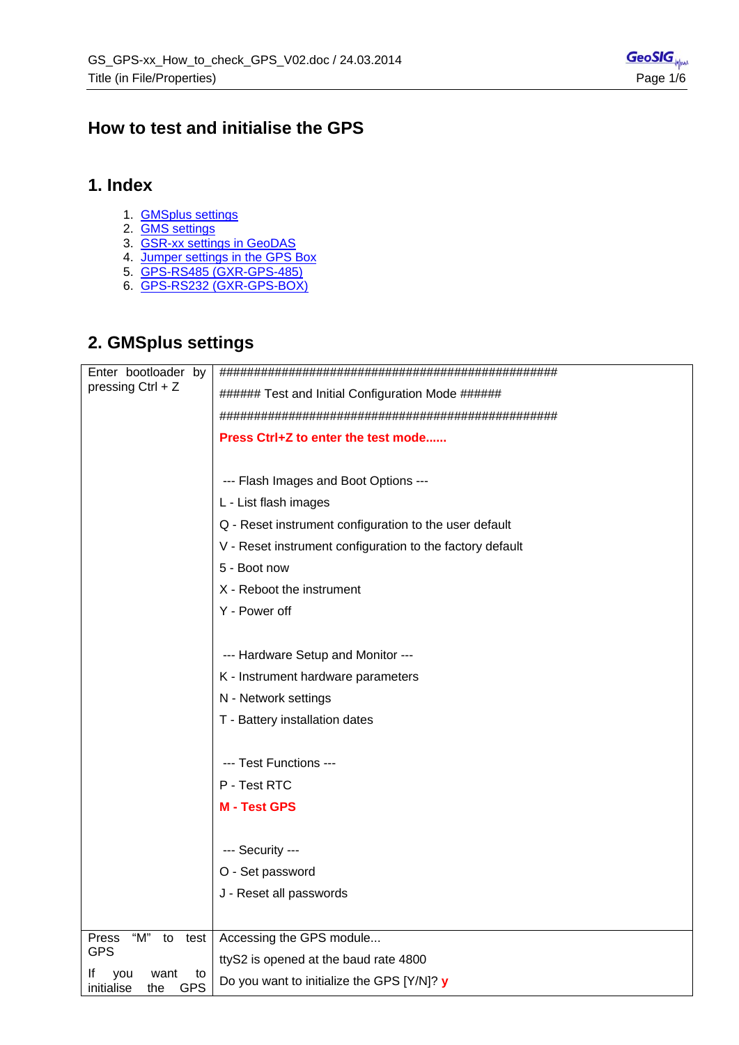## <span id="page-0-0"></span>**How to test and initialise the GPS**

### **1. Index**

- 1. [GMSplus settings](#page-0-0)
- 2. [GMS settings](#page-2-0)
- 3. [GSR-xx settings in GeoDAS](#page-3-0)
- 4. [Jumper settings in the GPS Box](#page-4-0)
- 5. [GPS-RS485 \(GXR-GPS-485\)](#page-5-0)
- 6. [GPS-RS232 \(GXR-GPS-BOX\)](#page-5-0)

## **2. GMSplus settings**

| Enter bootloader by                                        |                                                           |
|------------------------------------------------------------|-----------------------------------------------------------|
| pressing Ctrl + Z                                          | ###### Test and Initial Configuration Mode ######         |
|                                                            |                                                           |
|                                                            | Press Ctrl+Z to enter the test mode                       |
|                                                            |                                                           |
|                                                            | --- Flash Images and Boot Options ---                     |
|                                                            | L - List flash images                                     |
|                                                            | Q - Reset instrument configuration to the user default    |
|                                                            | V - Reset instrument configuration to the factory default |
|                                                            | 5 - Boot now                                              |
|                                                            | X - Reboot the instrument                                 |
|                                                            | Y - Power off                                             |
|                                                            |                                                           |
|                                                            | --- Hardware Setup and Monitor ---                        |
|                                                            | K - Instrument hardware parameters                        |
|                                                            | N - Network settings                                      |
|                                                            | T - Battery installation dates                            |
|                                                            |                                                           |
|                                                            | --- Test Functions ---                                    |
|                                                            | P - Test RTC                                              |
|                                                            | <b>M-Test GPS</b>                                         |
|                                                            |                                                           |
|                                                            | --- Security ---                                          |
|                                                            | O - Set password                                          |
|                                                            | J - Reset all passwords                                   |
|                                                            |                                                           |
| "M"<br><b>Press</b><br>to<br>test                          | Accessing the GPS module                                  |
| <b>GPS</b>                                                 | ttyS2 is opened at the baud rate 4800                     |
| It<br>you<br>to<br>want<br><b>GPS</b><br>initialise<br>the | Do you want to initialize the GPS [Y/N]? y                |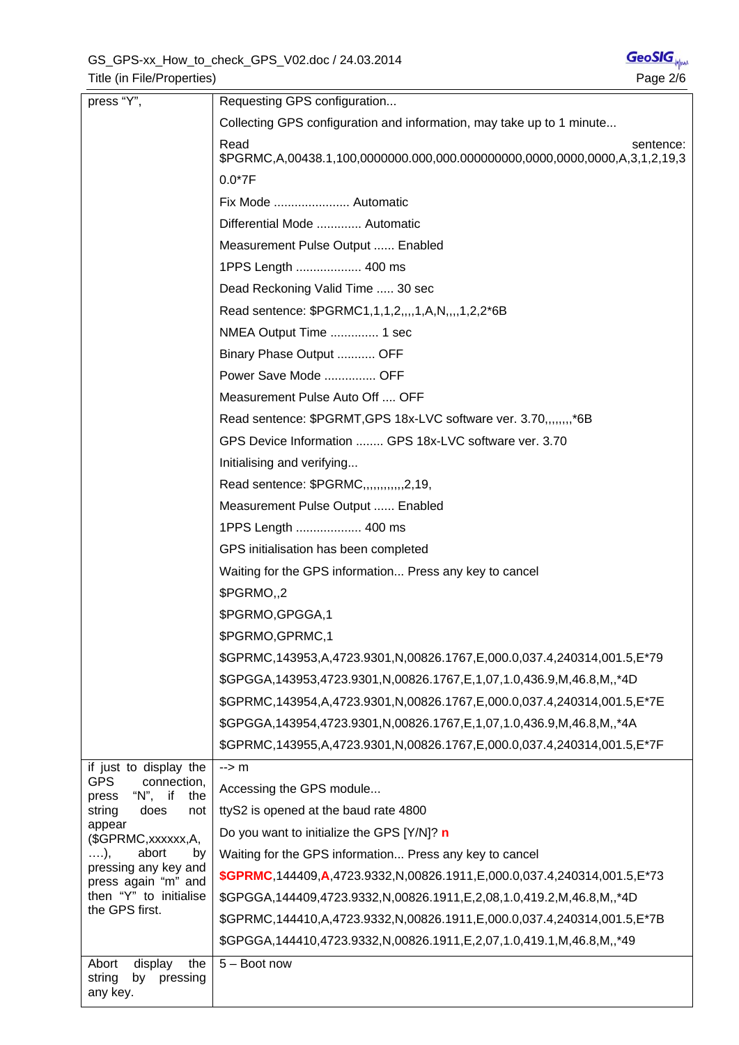| press "Y",                                                                                                                                                                                                                                                             | Requesting GPS configuration                                                      |
|------------------------------------------------------------------------------------------------------------------------------------------------------------------------------------------------------------------------------------------------------------------------|-----------------------------------------------------------------------------------|
|                                                                                                                                                                                                                                                                        | Collecting GPS configuration and information, may take up to 1 minute             |
|                                                                                                                                                                                                                                                                        | Read<br>sentence:                                                                 |
|                                                                                                                                                                                                                                                                        | $0.0*7F$                                                                          |
|                                                                                                                                                                                                                                                                        | Fix Mode  Automatic                                                               |
|                                                                                                                                                                                                                                                                        | Differential Mode  Automatic                                                      |
|                                                                                                                                                                                                                                                                        | Measurement Pulse Output  Enabled                                                 |
|                                                                                                                                                                                                                                                                        | 1PPS Length  400 ms                                                               |
|                                                                                                                                                                                                                                                                        | Dead Reckoning Valid Time  30 sec                                                 |
|                                                                                                                                                                                                                                                                        | Read sentence: \$PGRMC1,1,1,2,,,,1,A,N,,,,1,2,2*6B                                |
|                                                                                                                                                                                                                                                                        | NMEA Output Time  1 sec                                                           |
|                                                                                                                                                                                                                                                                        | Binary Phase Output  OFF                                                          |
|                                                                                                                                                                                                                                                                        | Power Save Mode  OFF                                                              |
|                                                                                                                                                                                                                                                                        | Measurement Pulse Auto Off  OFF                                                   |
|                                                                                                                                                                                                                                                                        | Read sentence: \$PGRMT, GPS 18x-LVC software ver. 3.70,,,,,,,,*6B                 |
|                                                                                                                                                                                                                                                                        | GPS Device Information  GPS 18x-LVC software ver. 3.70                            |
|                                                                                                                                                                                                                                                                        | Initialising and verifying                                                        |
|                                                                                                                                                                                                                                                                        | Read sentence: \$PGRMC,,,,,,,,,,,,2,19,                                           |
|                                                                                                                                                                                                                                                                        | Measurement Pulse Output  Enabled                                                 |
|                                                                                                                                                                                                                                                                        | 1PPS Length  400 ms                                                               |
|                                                                                                                                                                                                                                                                        | GPS initialisation has been completed                                             |
|                                                                                                                                                                                                                                                                        | Waiting for the GPS information Press any key to cancel                           |
|                                                                                                                                                                                                                                                                        | \$PGRMO <sub>1</sub> ,2                                                           |
|                                                                                                                                                                                                                                                                        | \$PGRMO, GPGGA, 1                                                                 |
|                                                                                                                                                                                                                                                                        | \$PGRMO, GPRMC, 1                                                                 |
|                                                                                                                                                                                                                                                                        | \$GPRMC,143953,A,4723.9301,N,00826.1767,E,000.0,037.4,240314,001.5,E*79           |
|                                                                                                                                                                                                                                                                        | \$GPGGA,143953,4723.9301, N,00826.1767, E,1,07, 1.0, 436.9, M, 46.8, M, *4D       |
|                                                                                                                                                                                                                                                                        | \$GPRMC,143954,A,4723.9301,N,00826.1767,E,000.0,037.4,240314,001.5,E*7E           |
|                                                                                                                                                                                                                                                                        | \$GPGGA,143954,4723.9301, N,00826.1767, E,1,07, 1.0, 436.9, M, 46.8, M, $*4A$     |
|                                                                                                                                                                                                                                                                        | \$GPRMC,143955,A,4723.9301,N,00826.1767,E,000.0,037.4,240314,001.5,E*7F           |
| if just to display the<br><b>GPS</b><br>connection,<br>" $N$ ", if<br>the<br>press<br>does<br>string<br>not<br>appear<br>(\$GPRMC, xxxxxx, A,<br>abort<br>$\ldots$ ),<br>by<br>pressing any key and<br>press again "m" and<br>then "Y" to initialise<br>the GPS first. | $\rightarrow$ m                                                                   |
|                                                                                                                                                                                                                                                                        | Accessing the GPS module                                                          |
|                                                                                                                                                                                                                                                                        | ttyS2 is opened at the baud rate 4800                                             |
|                                                                                                                                                                                                                                                                        | Do you want to initialize the GPS [Y/N]? n                                        |
|                                                                                                                                                                                                                                                                        | Waiting for the GPS information Press any key to cancel                           |
|                                                                                                                                                                                                                                                                        | \$GPRMC,144409,A,4723.9332,N,00826.1911,E,000.0,037.4,240314,001.5,E*73           |
|                                                                                                                                                                                                                                                                        | \$GPGGA,144409,4723.9332,N,00826.1911,E,2,08,1.0,419.2,M,46.8,M,,*4D              |
|                                                                                                                                                                                                                                                                        | \$GPRMC,144410,A,4723.9332,N,00826.1911,E,000.0,037.4,240314,001.5,E*7B           |
|                                                                                                                                                                                                                                                                        | \$GPGGA, 144410, 4723.9332, N, 00826.1911, E, 2, 07, 1.0, 419.1, M, 46.8, M, ,*49 |
| display<br>the<br>Abort<br>string<br>pressing<br>by<br>any key.                                                                                                                                                                                                        | $5 -$ Boot now                                                                    |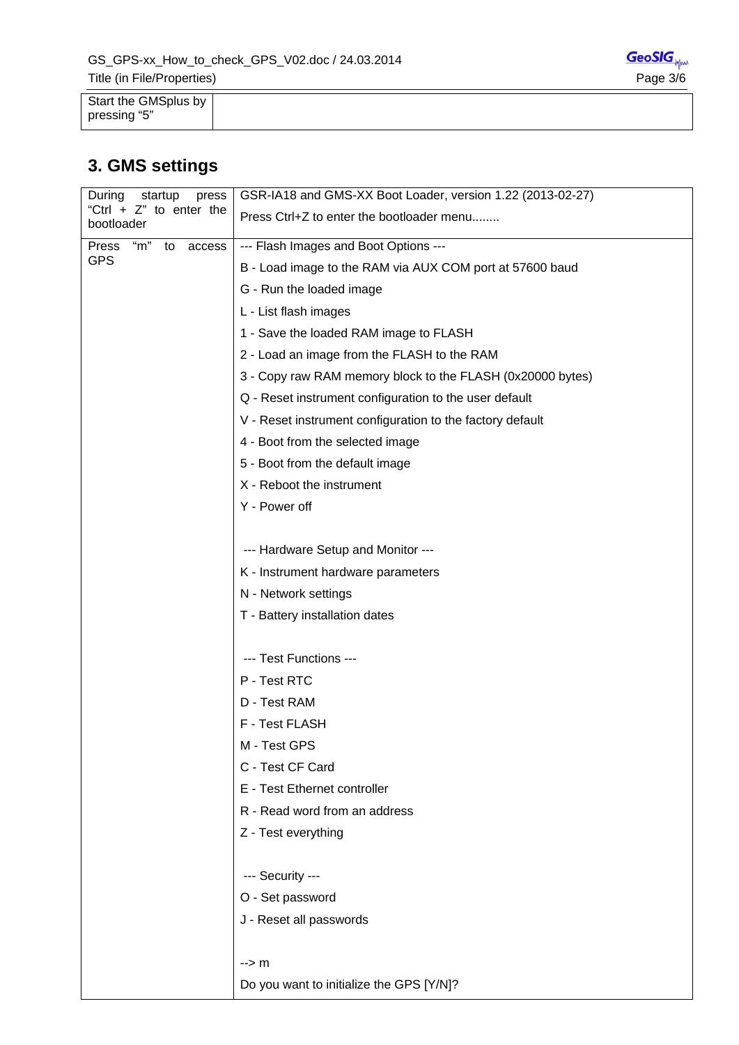<span id="page-2-0"></span>

| Start the GMSplus by |  |
|----------------------|--|
| pressing "5"         |  |

# **3. GMS settings**

| During<br>startup<br>press               | GSR-IA18 and GMS-XX Boot Loader, version 1.22 (2013-02-27) |
|------------------------------------------|------------------------------------------------------------|
| "Ctrl + $Z$ " to enter the<br>bootloader | Press Ctrl+Z to enter the bootloader menu                  |
| "m"<br>Press<br>to<br>access             | --- Flash Images and Boot Options ---                      |
| <b>GPS</b>                               | B - Load image to the RAM via AUX COM port at 57600 baud   |
|                                          | G - Run the loaded image                                   |
|                                          | L - List flash images                                      |
|                                          | 1 - Save the loaded RAM image to FLASH                     |
|                                          | 2 - Load an image from the FLASH to the RAM                |
|                                          | 3 - Copy raw RAM memory block to the FLASH (0x20000 bytes) |
|                                          | Q - Reset instrument configuration to the user default     |
|                                          | V - Reset instrument configuration to the factory default  |
|                                          | 4 - Boot from the selected image                           |
|                                          | 5 - Boot from the default image                            |
|                                          | X - Reboot the instrument                                  |
|                                          | Y - Power off                                              |
|                                          |                                                            |
|                                          | --- Hardware Setup and Monitor ---                         |
|                                          | K - Instrument hardware parameters                         |
|                                          | N - Network settings                                       |
|                                          | T - Battery installation dates                             |
|                                          |                                                            |
|                                          | --- Test Functions ---                                     |
|                                          | P - Test RTC                                               |
|                                          | D - Test RAM                                               |
|                                          | F - Test FLASH                                             |
|                                          | M - Test GPS                                               |
|                                          | C - Test CF Card                                           |
|                                          | E - Test Ethernet controller                               |
|                                          | R - Read word from an address                              |
|                                          | Z - Test everything                                        |
|                                          |                                                            |
|                                          | --- Security ---                                           |
|                                          | O - Set password                                           |
|                                          | J - Reset all passwords                                    |
|                                          |                                                            |
|                                          | --> m                                                      |
|                                          | Do you want to initialize the GPS [Y/N]?                   |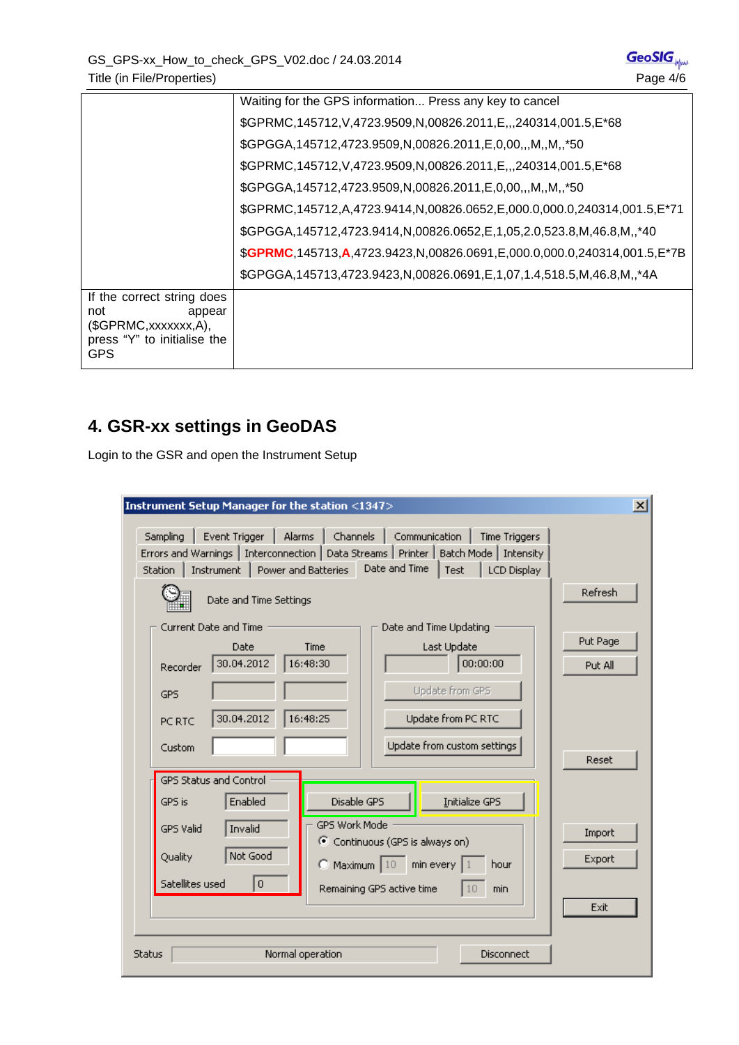<span id="page-3-0"></span>

|                                                                                                                | Waiting for the GPS information Press any key to cancel                           |
|----------------------------------------------------------------------------------------------------------------|-----------------------------------------------------------------------------------|
|                                                                                                                | \$GPRMC,145712,V,4723.9509,N,00826.2011,E,,,240314,001.5,E*68                     |
|                                                                                                                | \$GPGGA, 145712, 4723.9509, N, 00826.2011, E, 0, 00,  M, . N, . * 50              |
|                                                                                                                | \$GPRMC,145712, V,4723.9509, N,00826.2011, E,,,240314, 001.5, E*68                |
|                                                                                                                | \$GPGGA, 145712, 4723.9509, N, 00826.2011, E, 0, 00,  M, . N, . * 50              |
|                                                                                                                | \$GPRMC,145712,A,4723.9414,N,00826.0652,E,000.0,000.0,240314,001.5,E*71           |
|                                                                                                                | \$GPGGA, 145712, 4723.9414, N, 00826.0652, E, 1, 05, 2.0, 523.8, M, 46.8, M, ,*40 |
|                                                                                                                | \$GPRMC,145713,A,4723.9423,N,00826.0691,E,000.0,000.0,240314,001.5,E*7B           |
|                                                                                                                | \$GPGGA,145713,4723.9423,N,00826.0691,E,1,07,1.4,518.5,M,46.8,M,,*4A              |
| If the correct string does<br>not<br>appear<br>(SGPRMC,xxxxxx,A),<br>press "Y" to initialise the<br><b>GPS</b> |                                                                                   |

## **4. GSR-xx settings in GeoDAS**

Login to the GSR and open the Instrument Setup

| Instrument Setup Manager for the station <1347>                                                                                                                                                                                                                             | $\vert x \vert$     |
|-----------------------------------------------------------------------------------------------------------------------------------------------------------------------------------------------------------------------------------------------------------------------------|---------------------|
| Sampling<br>Event Trigger<br>Alarms<br>Channels<br>Communication<br><b>Time Triggers</b><br>Errors and Warnings   Interconnection   Data Streams   Printer   Batch Mode   Intensity<br>Date and Time<br>Power and Batteries<br>Instrument<br>Test<br>LCD Display<br>Station |                     |
| Date and Time Settings                                                                                                                                                                                                                                                      | Refresh             |
| Current Date and Time<br>Date and Time Updating<br>Time<br>Last Update<br>Date<br>30.04.2012<br>16:48:30<br>00:00:00<br>Recorder<br>Update from GPS<br><b>GPS</b>                                                                                                           | Put Page<br>Put All |
| 30.04.2012<br>16:48:25<br>Update from PC RTC<br>PC RTC<br>Update from custom settings<br>Custom<br>GPS Status and Control                                                                                                                                                   | Reset               |
| Initialize GPS<br>Enabled<br>Disable GPS<br>GPS is<br>GPS Work Mode<br>Invalid<br><b>GPS Valid</b><br>C Continuous (GPS is always on)<br>Not Good<br>Quality<br>$\bigcirc$ Maximum $\big 10\big $<br>min every<br>hour                                                      | Import<br>Export    |
| Satellites used<br>0<br>Remaining GPS active time<br>min<br>10                                                                                                                                                                                                              | Exit                |
| Normal operation<br>Disconnect<br><b>Status</b>                                                                                                                                                                                                                             |                     |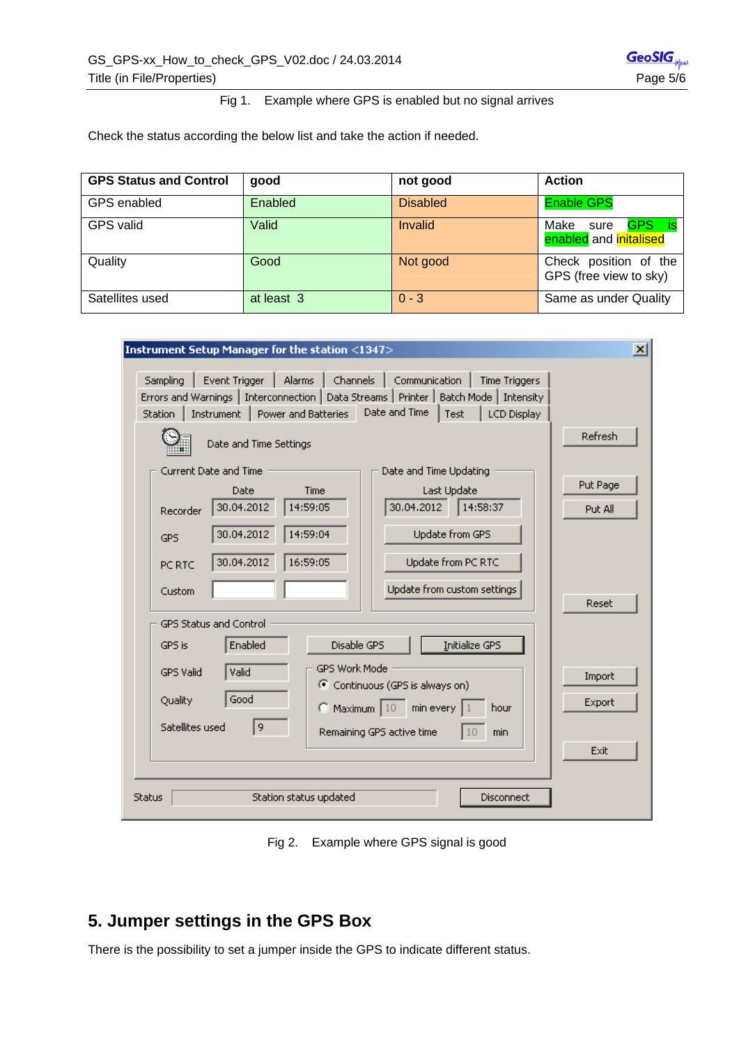#### Fig 1. Example where GPS is enabled but no signal arrives

<span id="page-4-0"></span>Check the status according the below list and take the action if needed.

| <b>GPS Status and Control</b> | good       | not good        | <b>Action</b>                                         |
|-------------------------------|------------|-----------------|-------------------------------------------------------|
| GPS enabled                   | Enabled    | <b>Disabled</b> | <b>Enable GPS</b>                                     |
| <b>GPS</b> valid              | Valid      | Invalid         | GPS.<br>Make<br>sure<br>is.<br>enabled and initalised |
| Quality                       | Good       | Not good        | Check position of the<br>GPS (free view to sky)       |
| Satellites used               | at least 3 | $0 - 3$         | Same as under Quality                                 |

| Instrument Setup Manager for the station <1347>                                                                                                                                     | $\vert x \vert$ |  |  |
|-------------------------------------------------------------------------------------------------------------------------------------------------------------------------------------|-----------------|--|--|
|                                                                                                                                                                                     |                 |  |  |
| Sampling<br>Event Trigger<br>Channels<br>Communication<br>Alarms<br><b>Time Triggers</b><br>Errors and Warnings   Interconnection   Data Streams   Printer   Batch Mode   Intensity |                 |  |  |
| Date and Time<br>Instrument   Power and Batteries<br>Test<br>Station<br><b>LCD Display</b>                                                                                          |                 |  |  |
| Date and Time Settings                                                                                                                                                              | Refresh         |  |  |
| Current Date and Time<br>Date and Time Updating                                                                                                                                     |                 |  |  |
| Time<br>Last Update<br>Date                                                                                                                                                         | Put Page        |  |  |
| 30.04.2012<br>14:59:05<br>30.04.2012<br>14:58:37<br>Recorder                                                                                                                        | Put All         |  |  |
| 14:59:04<br>30.04.2012<br>Update from GPS<br><b>GPS</b>                                                                                                                             |                 |  |  |
| 16:59:05<br>30.04.2012<br>Update from PC RTC<br>PC RTC                                                                                                                              |                 |  |  |
| Update from custom settings<br>Custom                                                                                                                                               | Reset           |  |  |
| <b>GPS Status and Control</b>                                                                                                                                                       |                 |  |  |
| Initialize GPS<br>Enabled<br>Disable GPS<br>GPS is                                                                                                                                  |                 |  |  |
| GPS Work Mode<br>Valid<br>GPS Valid<br>C Continuous (GPS is always on)                                                                                                              | Import          |  |  |
| Good<br>Quality<br>$\bigcirc$ Maximum $\big 10\big $<br>min every<br>hour                                                                                                           | Export          |  |  |
| Satellites used<br>9<br>Remaining GPS active time<br>min<br>10                                                                                                                      |                 |  |  |
| Exit                                                                                                                                                                                |                 |  |  |
|                                                                                                                                                                                     |                 |  |  |
| <b>Status</b><br>Station status updated<br>Disconnect                                                                                                                               |                 |  |  |

Fig 2. Example where GPS signal is good

## **5. Jumper settings in the GPS Box**

There is the possibility to set a jumper inside the GPS to indicate different status.